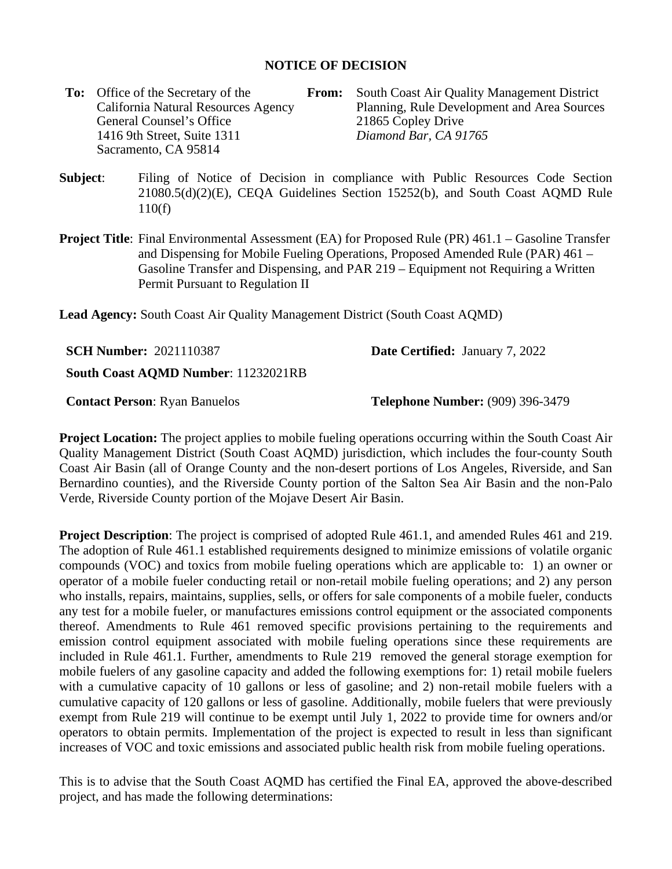## **NOTICE OF DECISION**

**To:** Office of the Secretary of the California Natural Resources Agency General Counsel's Office<br>
1416 9th Street. Suite 1311<br>
21865 Copley Drive<br>
Diamond Bar. CA 91765 1416 9th Street, Suite 1311 *Diamond Bar, CA 91765* Sacramento, CA 95814

**From:** South Coast Air Quality Management District Planning, Rule Development and Area Sources

- **Subject**: Filing of Notice of Decision in compliance with Public Resources Code Section 21080.5(d)(2)(E), CEQA Guidelines Section 15252(b), and South Coast AQMD Rule 110(f)
- **Project Title:** Final Environmental Assessment (EA) for Proposed Rule (PR) 461.1 Gasoline Transfer and Dispensing for Mobile Fueling Operations, Proposed Amended Rule (PAR) 461 – Gasoline Transfer and Dispensing, and PAR 219 – Equipment not Requiring a Written Permit Pursuant to Regulation II

**Lead Agency:** South Coast Air Quality Management District (South Coast AQMD)

| <b>SCH Number: 2021110387</b> | <b>Date Certified: January 7, 2022</b> |  |
|-------------------------------|----------------------------------------|--|
|                               |                                        |  |

**South Coast AQMD Number**: 11232021RB

**Contact Person:** Ryan Banuelos **Telephone Number:** (909) 396-3479

**Project Location:** The project applies to mobile fueling operations occurring within the South Coast Air Quality Management District (South Coast AQMD) jurisdiction, which includes the four-county South Coast Air Basin (all of Orange County and the non-desert portions of Los Angeles, Riverside, and San Bernardino counties), and the Riverside County portion of the Salton Sea Air Basin and the non-Palo Verde, Riverside County portion of the Mojave Desert Air Basin.

**Project Description**: The project is comprised of adopted Rule 461.1, and amended Rules 461 and 219. The adoption of Rule 461.1 established requirements designed to minimize emissions of volatile organic compounds (VOC) and toxics from mobile fueling operations which are applicable to: 1) an owner or operator of a mobile fueler conducting retail or non-retail mobile fueling operations; and 2) any person who installs, repairs, maintains, supplies, sells, or offers for sale components of a mobile fueler, conducts any test for a mobile fueler, or manufactures emissions control equipment or the associated components thereof. Amendments to Rule 461 removed specific provisions pertaining to the requirements and emission control equipment associated with mobile fueling operations since these requirements are included in Rule 461.1. Further, amendments to Rule 219 removed the general storage exemption for mobile fuelers of any gasoline capacity and added the following exemptions for: 1) retail mobile fuelers with a cumulative capacity of 10 gallons or less of gasoline; and 2) non-retail mobile fuelers with a cumulative capacity of 120 gallons or less of gasoline. Additionally, mobile fuelers that were previously exempt from Rule 219 will continue to be exempt until July 1, 2022 to provide time for owners and/or operators to obtain permits. Implementation of the project is expected to result in less than significant increases of VOC and toxic emissions and associated public health risk from mobile fueling operations.

This is to advise that the South Coast AQMD has certified the Final EA, approved the above-described project, and has made the following determinations: